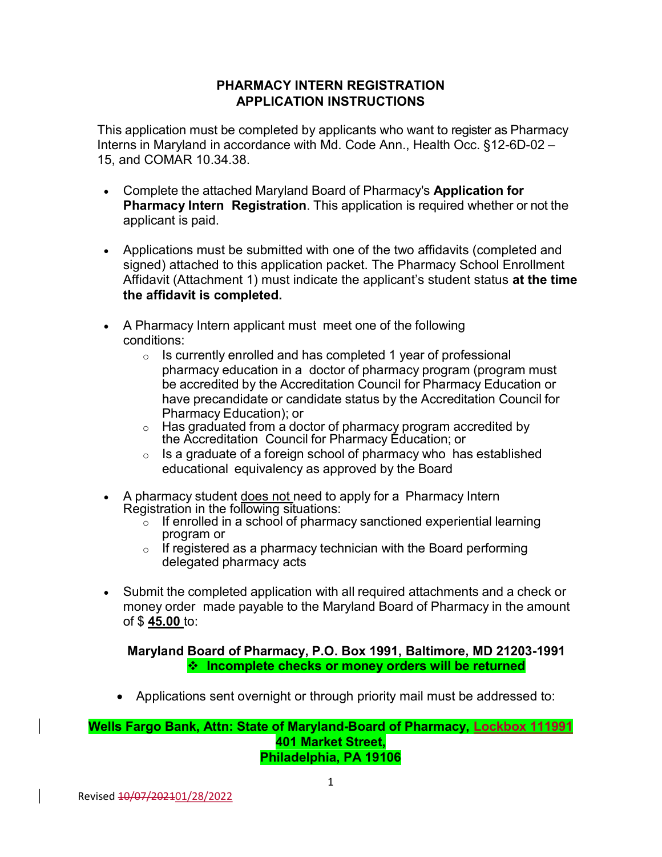## PHARMACY INTERN REGISTRATION APPLICATION INSTRUCTIONS

This application must be completed by applicants who want to register as Pharmacy Interns in Maryland in accordance with Md. Code Ann., Health Occ. §12-6D-02 – 15, and COMAR 10.34.38.

- Complete the attached Maryland Board of Pharmacy's **Application for Pharmacy Intern Registration**. This application is required whether or not the applicant is paid.
- Applications must be submitted with one of the two affidavits (completed and signed) attached to this application packet. The Pharmacy School Enrollment Affidavit (Attachment 1) must indicate the applicant's student status at the time the affidavit is completed.
- A Pharmacy Intern applicant must meet one of the following conditions:
	- $\circ$  Is currently enrolled and has completed 1 year of professional pharmacy education in a doctor of pharmacy program (program must be accredited by the Accreditation Council for Pharmacy Education or have precandidate or candidate status by the Accreditation Council for Pharmacy Education); or
	- $\circ$  Has graduated from a doctor of pharmacy program accredited by the Accreditation Council for Pharmacy Education; or
	- $\circ$  Is a graduate of a foreign school of pharmacy who has established educational equivalency as approved by the Board
- A pharmacy student does not need to apply for a Pharmacy Intern Registration in the following situations:
	- $\circ$  If enrolled in a school of pharmacy sanctioned experiential learning program or
	- $\circ$  If registered as a pharmacy technician with the Board performing delegated pharmacy acts
- Submit the completed application with all required attachments and a check or money order made payable to the Maryland Board of Pharmacy in the amount of \$ 45.00 to:

Maryland Board of Pharmacy, P.O. Box 1991, Baltimore, MD 21203-1991  $\cdot$  Incomplete checks or money orders will be returned

Applications sent overnight or through priority mail must be addressed to:

#### Wells Fargo Bank, Attn: State of Maryland-Board of Pharmacy, Lockbox 111991 401 Market Street, Philadelphia, PA 19106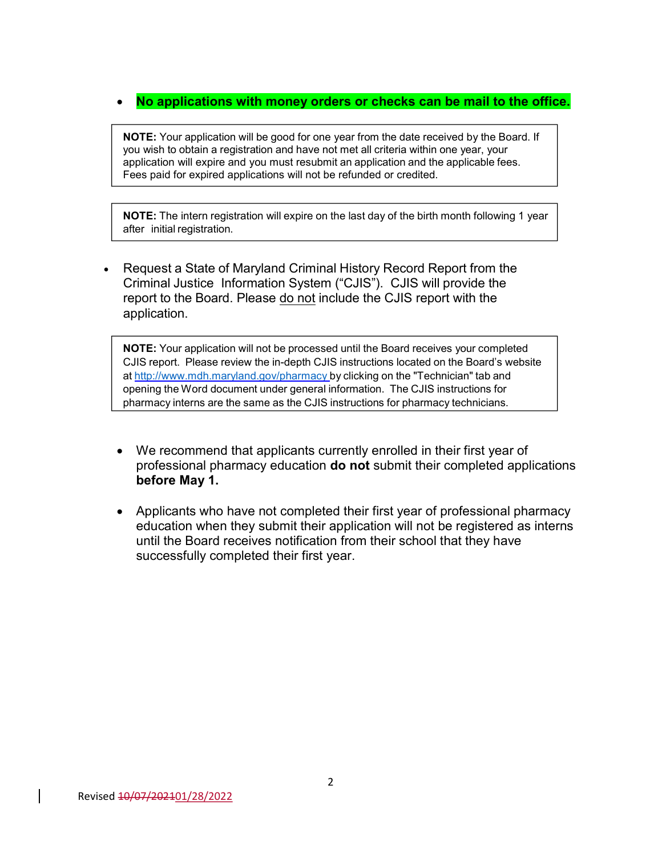## No applications with money orders or checks can be mail to the office.

NOTE: Your application will be good for one year from the date received by the Board. If you wish to obtain a registration and have not met all criteria within one year, your application will expire and you must resubmit an application and the applicable fees. Fees paid for expired applications will not be refunded or credited.

NOTE: The intern registration will expire on the last day of the birth month following 1 year after initial registration.

 Request a State of Maryland Criminal History Record Report from the Criminal Justice Information System ("CJIS"). CJIS will provide the report to the Board. Please do not include the CJIS report with the application.

NOTE: Your application will not be processed until the Board receives your completed CJIS report. Please review the in-depth CJIS instructions located on the Board's website at http://www.mdh.maryland.gov/pharmacy by clicking on the "Technician" tab and opening the Word document under general information. The CJIS instructions for pharmacy interns are the same as the CJIS instructions for pharmacy technicians.

- We recommend that applicants currently enrolled in their first year of professional pharmacy education **do not** submit their completed applications before May 1.
- Applicants who have not completed their first year of professional pharmacy education when they submit their application will not be registered as interns until the Board receives notification from their school that they have successfully completed their first year.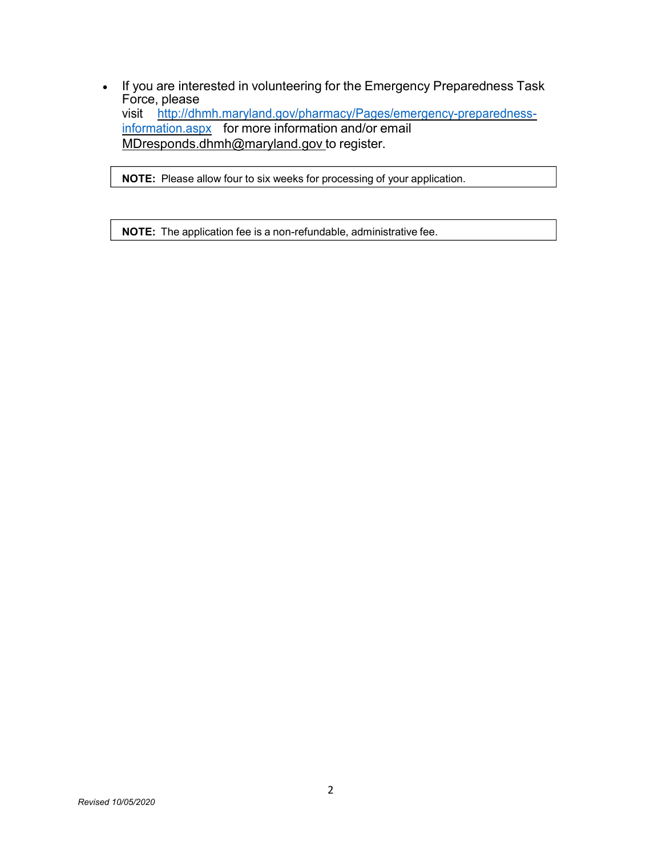• If you are interested in volunteering for the Emergency Preparedness Task Force, please visit http://dhmh.maryland.gov/pharmacy/Pages/emergency-preparednessinformation.aspx for more information and/or email MDresponds.dhmh@maryland.gov to register.

NOTE: Please allow four to six weeks for processing of your application.

NOTE: The application fee is a non-refundable, administrative fee.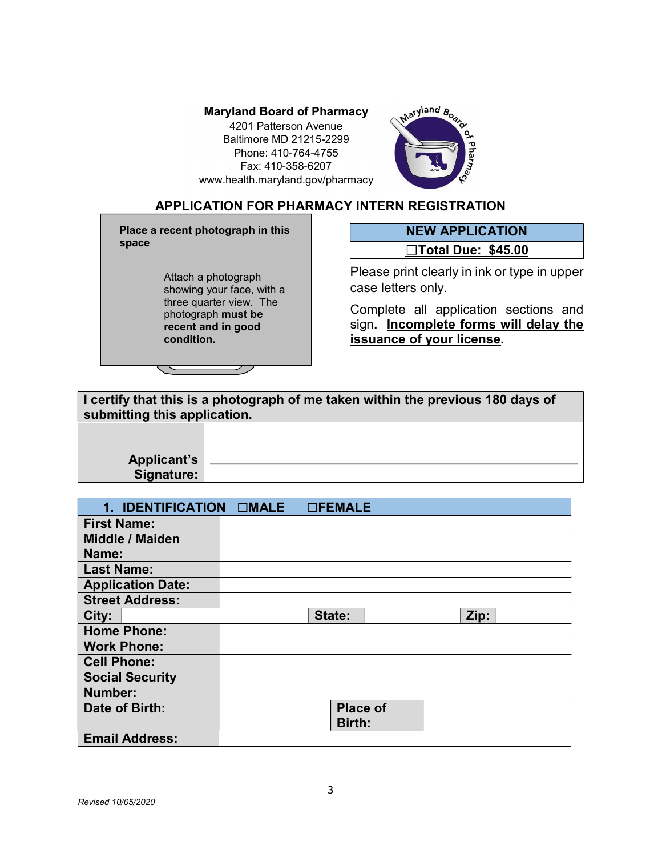4201 Patterson Avenue Baltimore MD 21215-2299 Phone: 410-764-4755 Fax: 410-358-6207 www.health.maryland.gov/pharmacy



## APPLICATION FOR PHARMACY INTERN REGISTRATION

Place a recent photograph in this space

> Attach a photograph showing your face, with a three quarter view. The photograph must be recent and in good condition.

NEW APPLICATION ☐Total Due: \$45.00

Please print clearly in ink or type in upper case letters only.

Complete all application sections and sign. **Incomplete forms will delay the** issuance of your license.

| submitting this application. | I certify that this is a photograph of me taken within the previous 180 days of |
|------------------------------|---------------------------------------------------------------------------------|
|                              |                                                                                 |

Applicant's Signature:

| 1. IDENTIFICATION CIMALE | <b>OFEMALE</b>  |      |
|--------------------------|-----------------|------|
| <b>First Name:</b>       |                 |      |
| <b>Middle / Maiden</b>   |                 |      |
| Name:                    |                 |      |
| <b>Last Name:</b>        |                 |      |
| <b>Application Date:</b> |                 |      |
| <b>Street Address:</b>   |                 |      |
| City:                    | State:          | Zip: |
| <b>Home Phone:</b>       |                 |      |
| <b>Work Phone:</b>       |                 |      |
| <b>Cell Phone:</b>       |                 |      |
| <b>Social Security</b>   |                 |      |
| Number:                  |                 |      |
| Date of Birth:           | <b>Place of</b> |      |
|                          | Birth:          |      |
| <b>Email Address:</b>    |                 |      |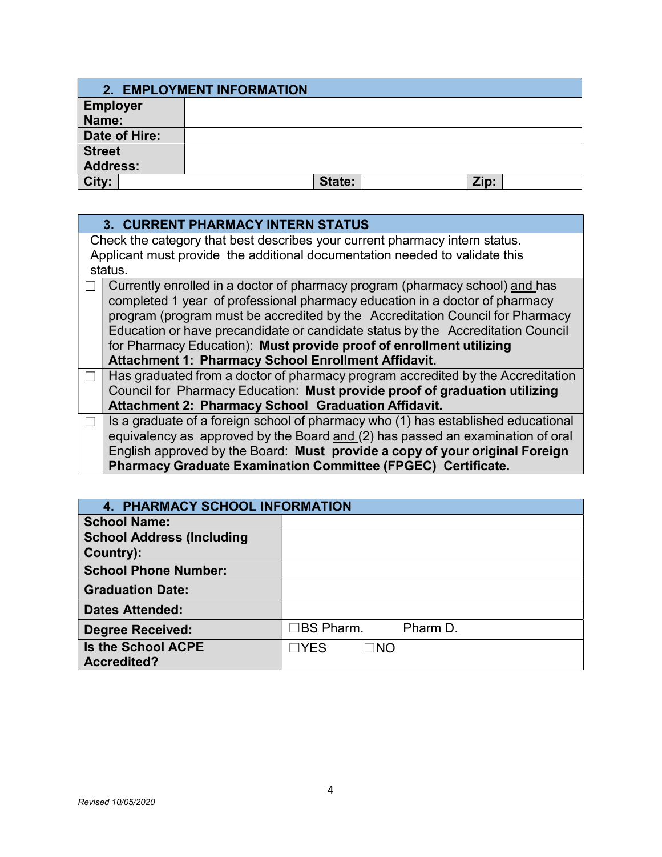|                 | 2. EMPLOYMENT INFORMATION |      |  |
|-----------------|---------------------------|------|--|
| <b>Employer</b> |                           |      |  |
| Name:           |                           |      |  |
| Date of Hire:   |                           |      |  |
| <b>Street</b>   |                           |      |  |
| <b>Address:</b> |                           |      |  |
| City:           | State:                    | Zip: |  |

| <b>3. CURRENT PHARMACY INTERN STATUS</b>                                          |  |  |
|-----------------------------------------------------------------------------------|--|--|
| Check the category that best describes your current pharmacy intern status.       |  |  |
| Applicant must provide the additional documentation needed to validate this       |  |  |
| status.                                                                           |  |  |
| Currently enrolled in a doctor of pharmacy program (pharmacy school) and has      |  |  |
| completed 1 year of professional pharmacy education in a doctor of pharmacy       |  |  |
| program (program must be accredited by the Accreditation Council for Pharmacy     |  |  |
| Education or have precandidate or candidate status by the Accreditation Council   |  |  |
| for Pharmacy Education): Must provide proof of enrollment utilizing               |  |  |
| Attachment 1: Pharmacy School Enrollment Affidavit.                               |  |  |
| Has graduated from a doctor of pharmacy program accredited by the Accreditation   |  |  |
| Council for Pharmacy Education: Must provide proof of graduation utilizing        |  |  |
| Attachment 2: Pharmacy School Graduation Affidavit.                               |  |  |
| Is a graduate of a foreign school of pharmacy who (1) has established educational |  |  |
| equivalency as approved by the Board and (2) has passed an examination of oral    |  |  |
| English approved by the Board: Must provide a copy of your original Foreign       |  |  |
| <b>Pharmacy Graduate Examination Committee (FPGEC) Certificate.</b>               |  |  |

|                                  | <b>4. PHARMACY SCHOOL INFORMATION</b> |          |  |
|----------------------------------|---------------------------------------|----------|--|
| <b>School Name:</b>              |                                       |          |  |
| <b>School Address (Including</b> |                                       |          |  |
| Country):                        |                                       |          |  |
| <b>School Phone Number:</b>      |                                       |          |  |
| <b>Graduation Date:</b>          |                                       |          |  |
| <b>Dates Attended:</b>           |                                       |          |  |
| <b>Degree Received:</b>          | コBS Pharm.                            | Pharm D. |  |
| <b>Is the School ACPE</b>        | $\neg$ YES<br>$\Box$ NO               |          |  |
| <b>Accredited?</b>               |                                       |          |  |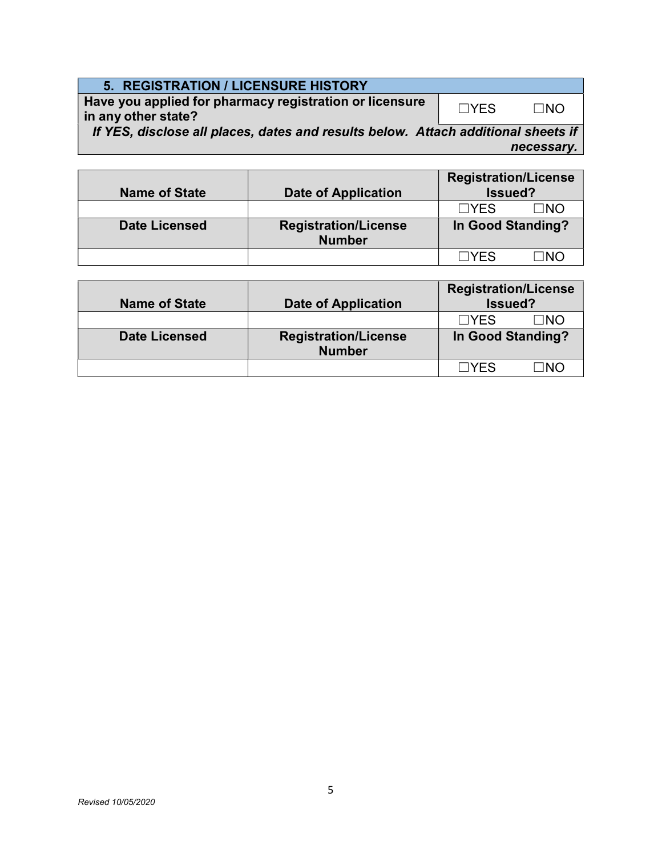| <b>5. REGISTRATION / LICENSURE HISTORY</b> |
|--------------------------------------------|
|                                            |

Have you applied for pharmacy registration or licensure in any other state? ☐YES ☐NO

If YES, disclose all places, dates and results below. Attach additional sheets if necessary.

| <b>Name of State</b> | <b>Date of Application</b>                   | <b>Registration/License</b><br>Issued? |             |
|----------------------|----------------------------------------------|----------------------------------------|-------------|
|                      |                                              | $\Box YFS$                             | $\sqcap$ NO |
| <b>Date Licensed</b> | <b>Registration/License</b><br><b>Number</b> | In Good Standing?                      |             |
|                      |                                              | <b>IVES</b>                            | ∩וח         |

| <b>Name of State</b> | <b>Date of Application</b>                   | <b>Registration/License</b><br>Issued? |
|----------------------|----------------------------------------------|----------------------------------------|
|                      |                                              | $\Box YFS$<br>⊓NO                      |
| <b>Date Licensed</b> | <b>Registration/License</b><br><b>Number</b> | In Good Standing?                      |
|                      |                                              | ⊟YFS<br>∩מר                            |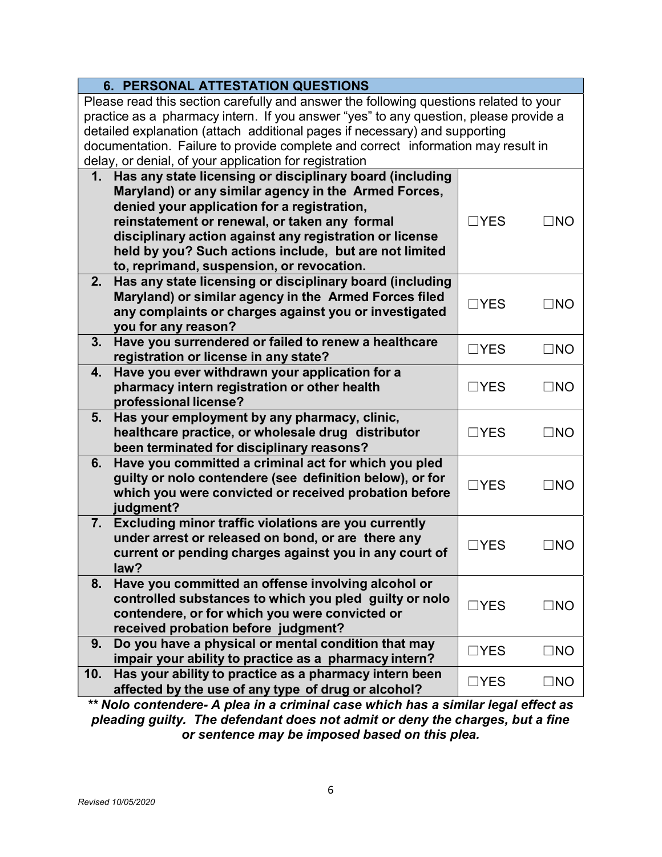| <b>6. PERSONAL ATTESTATION QUESTIONS</b>                                              |                 |              |
|---------------------------------------------------------------------------------------|-----------------|--------------|
| Please read this section carefully and answer the following questions related to your |                 |              |
| practice as a pharmacy intern. If you answer "yes" to any question, please provide a  |                 |              |
| detailed explanation (attach additional pages if necessary) and supporting            |                 |              |
| documentation. Failure to provide complete and correct information may result in      |                 |              |
| delay, or denial, of your application for registration                                |                 |              |
| 1. Has any state licensing or disciplinary board (including                           |                 |              |
| Maryland) or any similar agency in the Armed Forces,                                  |                 |              |
| denied your application for a registration,                                           |                 |              |
| reinstatement or renewal, or taken any formal                                         | $\Box$ YES      | $\square$ NO |
| disciplinary action against any registration or license                               |                 |              |
| held by you? Such actions include, but are not limited                                |                 |              |
| to, reprimand, suspension, or revocation.                                             |                 |              |
| Has any state licensing or disciplinary board (including<br>2.                        |                 |              |
| Maryland) or similar agency in the Armed Forces filed                                 | $\Box$ YES      | $\Box$ NO    |
| any complaints or charges against you or investigated                                 |                 |              |
| you for any reason?                                                                   |                 |              |
| 3 <sub>1</sub><br>Have you surrendered or failed to renew a healthcare                | $\Box$ YES      | $\square$ NO |
| registration or license in any state?                                                 |                 |              |
| Have you ever withdrawn your application for a<br>4.                                  |                 |              |
| pharmacy intern registration or other health                                          | $\Box$ YES      | $\square$ NO |
| professional license?<br>Has your employment by any pharmacy, clinic,<br>5.           |                 |              |
| healthcare practice, or wholesale drug distributor<br>$\Box$ YES<br>$\square$ NO      |                 |              |
| been terminated for disciplinary reasons?                                             |                 |              |
| Have you committed a criminal act for which you pled<br>6.                            |                 |              |
| guilty or nolo contendere (see definition below), or for                              |                 |              |
| which you were convicted or received probation before                                 | $\Box$ YES      | $\Box$ NO    |
| judgment?                                                                             |                 |              |
| 7.<br>Excluding minor traffic violations are you currently                            |                 |              |
| under arrest or released on bond, or are there any                                    |                 |              |
| current or pending charges against you in any court of                                | $\sqsupset$ YES | $\Box$ NO    |
| law?                                                                                  |                 |              |
| Have you committed an offense involving alcohol or<br>8.                              |                 |              |
| controlled substances to which you pled guilty or nolo                                | $\Box$ YES      | $\square$ NO |
| contendere, or for which you were convicted or                                        |                 |              |
| received probation before judgment?                                                   |                 |              |
| Do you have a physical or mental condition that may<br>9.                             | $\Box$ YES      | $\square$ NO |
| impair your ability to practice as a pharmacy intern?                                 |                 |              |
| 10.<br>Has your ability to practice as a pharmacy intern been                         | $\Box$ YES      | $\square$ NO |
| affected by the use of any type of drug or alcohol?                                   |                 |              |

\*\* Nolo contendere- A plea in a criminal case which has a similar legal effect as pleading guilty. The defendant does not admit or deny the charges, but a fine or sentence may be imposed based on this plea.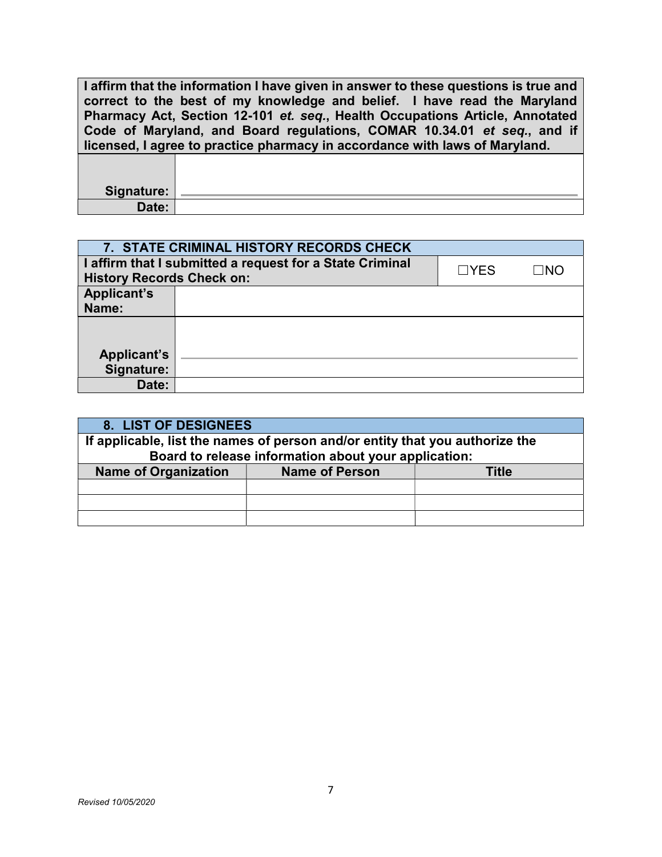I affirm that the information I have given in answer to these questions is true and correct to the best of my knowledge and belief. I have read the Maryland Pharmacy Act, Section 12-101 et. seq., Health Occupations Article, Annotated Code of Maryland, and Board regulations, COMAR 10.34.01 et seq., and if licensed, I agree to practice pharmacy in accordance with laws of Maryland.

| <b>Signature:</b> |  |
|-------------------|--|
| Date:             |  |

|                                  | 7. STATE CRIMINAL HISTORY RECORDS CHECK                                       |  |  |  |
|----------------------------------|-------------------------------------------------------------------------------|--|--|--|
|                                  | I affirm that I submitted a request for a State Criminal<br>$\Box$ YFS<br>∃NC |  |  |  |
| <b>History Records Check on:</b> |                                                                               |  |  |  |
| <b>Applicant's</b>               |                                                                               |  |  |  |
| Name:                            |                                                                               |  |  |  |
|                                  |                                                                               |  |  |  |
|                                  |                                                                               |  |  |  |
| <b>Applicant's</b>               |                                                                               |  |  |  |
| Signature:                       |                                                                               |  |  |  |
| Date:                            |                                                                               |  |  |  |

| 8. LIST OF DESIGNEES                                          |                                                                              |  |  |  |
|---------------------------------------------------------------|------------------------------------------------------------------------------|--|--|--|
|                                                               | If applicable, list the names of person and/or entity that you authorize the |  |  |  |
|                                                               | Board to release information about your application:                         |  |  |  |
| <b>Name of Organization</b><br><b>Name of Person</b><br>Title |                                                                              |  |  |  |
|                                                               |                                                                              |  |  |  |
|                                                               |                                                                              |  |  |  |
|                                                               |                                                                              |  |  |  |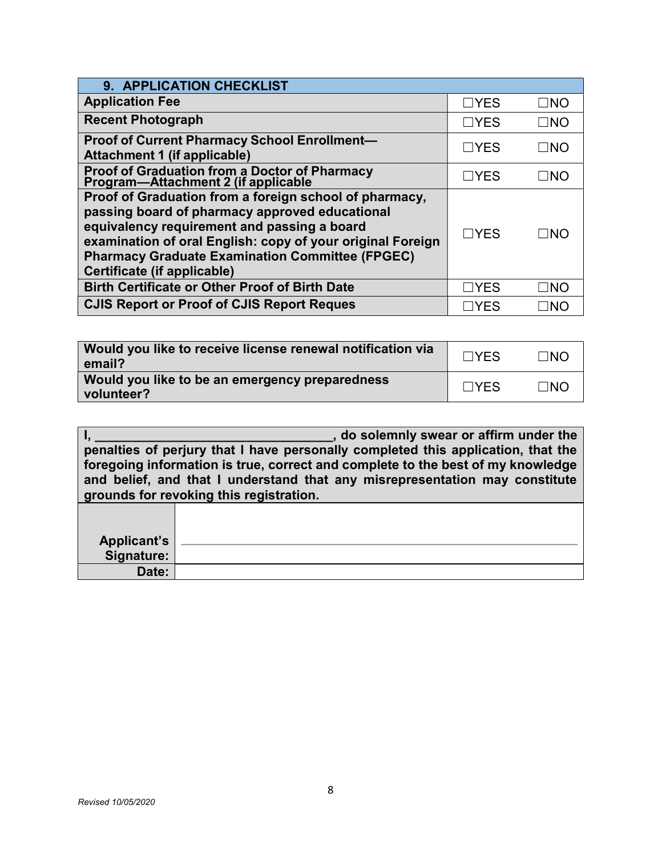| 9. APPLICATION CHECKLIST                                                                                                                                                                                                                                                                                       |            |           |
|----------------------------------------------------------------------------------------------------------------------------------------------------------------------------------------------------------------------------------------------------------------------------------------------------------------|------------|-----------|
| <b>Application Fee</b>                                                                                                                                                                                                                                                                                         | $\Box$ YES | $\Box$ NO |
| <b>Recent Photograph</b>                                                                                                                                                                                                                                                                                       | $\Box$ YES | $\Box$ No |
| <b>Proof of Current Pharmacy School Enrollment-</b><br>Attachment 1 (if applicable)                                                                                                                                                                                                                            | $\Box$ YES | $\Box$ NO |
| Proof of Graduation from a Doctor of Pharmacy<br>Program—Attachment 2 (if applicable                                                                                                                                                                                                                           | $\Box$ YES | $\Box$ NO |
| Proof of Graduation from a foreign school of pharmacy,<br>passing board of pharmacy approved educational<br>equivalency requirement and passing a board<br>examination of oral English: copy of your original Foreign<br><b>Pharmacy Graduate Examination Committee (FPGEC)</b><br>Certificate (if applicable) | $\Box$ YES | INO       |
| <b>Birth Certificate or Other Proof of Birth Date</b>                                                                                                                                                                                                                                                          | $\Box$ YES | INO       |
| <b>CJIS Report or Proof of CJIS Report Reques</b>                                                                                                                                                                                                                                                              | YFS        | INC       |

| Would you like to receive license renewal notification via<br>email? | $\Box$ YES | $\Box$ NO |
|----------------------------------------------------------------------|------------|-----------|
| Would you like to be an emergency preparedness<br>volunteer?         | $\Box$ YES | $\Box$ NO |

| , do solemnly swear or affirm under the                                          |  |  |  |
|----------------------------------------------------------------------------------|--|--|--|
| penalties of perjury that I have personally completed this application, that the |  |  |  |
| foregoing information is true, correct and complete to the best of my knowledge  |  |  |  |
| and belief, and that I understand that any misrepresentation may constitute      |  |  |  |
| grounds for revoking this registration.                                          |  |  |  |
|                                                                                  |  |  |  |
|                                                                                  |  |  |  |

| Applicant's |  |
|-------------|--|
| Signature:  |  |
| Date:       |  |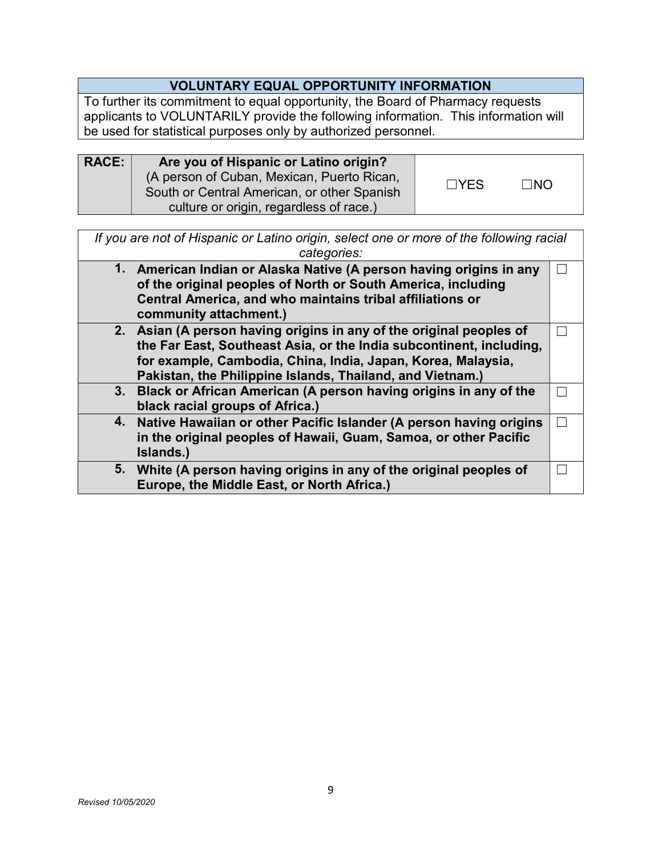# VOLUNTARY EQUAL OPPORTUNITY INFORMATION

To further its commitment to equal opportunity, the Board of Pharmacy requests applicants to VOLUNTARILY provide the following information. This information will be used for statistical purposes only by authorized personnel.

| <b>RACE:</b> | Are you of Hispanic or Latino origin?<br>(A person of Cuban, Mexican, Puerto Rican,<br>South or Central American, or other Spanish | $\Box$ YES | $\Box$ NO |  |
|--------------|------------------------------------------------------------------------------------------------------------------------------------|------------|-----------|--|
|              | culture or origin, regardless of race.)                                                                                            |            |           |  |

If you are not of Hispanic or Latino origin, select one or more of the following racial categories:

| 1. American Indian or Alaska Native (A person having origins in any<br>of the original peoples of North or South America, including<br>Central America, and who maintains tribal affiliations or<br>community attachment.) |  |
|----------------------------------------------------------------------------------------------------------------------------------------------------------------------------------------------------------------------------|--|
| 2. Asian (A person having origins in any of the original peoples of                                                                                                                                                        |  |
| the Far East, Southeast Asia, or the India subcontinent, including,                                                                                                                                                        |  |
| for example, Cambodia, China, India, Japan, Korea, Malaysia,                                                                                                                                                               |  |
| Pakistan, the Philippine Islands, Thailand, and Vietnam.)                                                                                                                                                                  |  |
| 3. Black or African American (A person having origins in any of the                                                                                                                                                        |  |
| black racial groups of Africa.)                                                                                                                                                                                            |  |
| 4. Native Hawaiian or other Pacific Islander (A person having origins                                                                                                                                                      |  |
| in the original peoples of Hawaii, Guam, Samoa, or other Pacific                                                                                                                                                           |  |
| Islands.)                                                                                                                                                                                                                  |  |
| 5. White (A person having origins in any of the original peoples of                                                                                                                                                        |  |
| Europe, the Middle East, or North Africa.)                                                                                                                                                                                 |  |
|                                                                                                                                                                                                                            |  |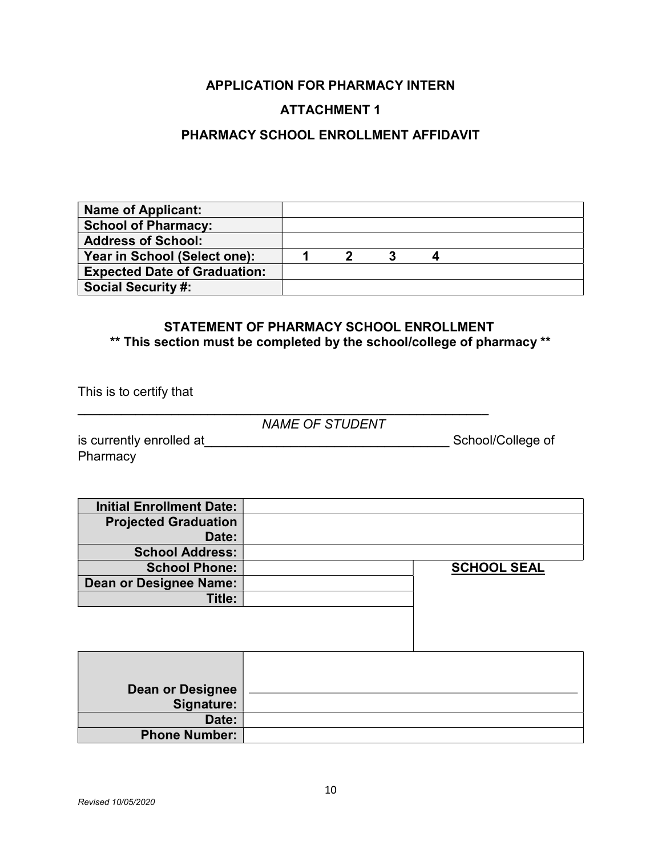## APPLICATION FOR PHARMACY INTERN

## ATTACHMENT 1

## PHARMACY SCHOOL ENROLLMENT AFFIDAVIT

| <b>Name of Applicant:</b>           |  |  |  |  |
|-------------------------------------|--|--|--|--|
| <b>School of Pharmacy:</b>          |  |  |  |  |
| <b>Address of School:</b>           |  |  |  |  |
| Year in School (Select one):        |  |  |  |  |
| <b>Expected Date of Graduation:</b> |  |  |  |  |
| <b>Social Security #:</b>           |  |  |  |  |

## STATEMENT OF PHARMACY SCHOOL ENROLLMENT \*\* This section must be completed by the school/college of pharmacy \*\*

This is to certify that

NAME OF STUDENT

 $\mathcal{L}_\text{max}$  and  $\mathcal{L}_\text{max}$  and  $\mathcal{L}_\text{max}$  and  $\mathcal{L}_\text{max}$  and  $\mathcal{L}_\text{max}$  and  $\mathcal{L}_\text{max}$ 

is currently enrolled at\_\_\_\_\_\_\_\_\_\_\_\_\_\_\_\_\_\_\_\_\_\_\_\_\_\_\_\_\_\_\_\_\_\_ School/College of **Pharmacy** 

| <b>Initial Enrollment Date:</b> |                    |
|---------------------------------|--------------------|
| <b>Projected Graduation</b>     |                    |
| Date:                           |                    |
| <b>School Address:</b>          |                    |
| <b>School Phone:</b>            | <b>SCHOOL SEAL</b> |
| Dean or Designee Name:          |                    |
| Title:                          |                    |
|                                 |                    |

| Dean or Designee<br>Signature: |  |
|--------------------------------|--|
| Date:                          |  |
| <b>Phone Number:</b>           |  |